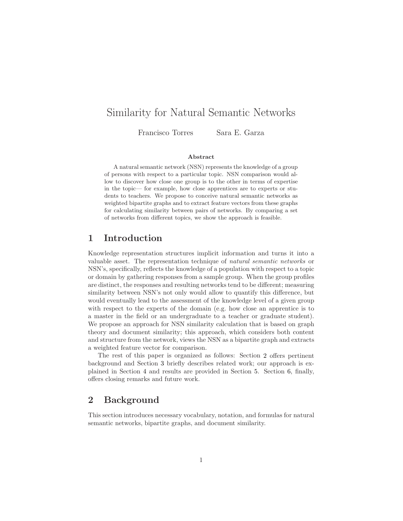# Similarity for Natural Semantic Networks

Francisco Torres Sara E. Garza

#### Abstract

A natural semantic network (NSN) represents the knowledge of a group of persons with respect to a particular topic. NSN comparison would allow to discover how close one group is to the other in terms of expertise in the topic— for example, how close apprentices are to experts or students to teachers. We propose to conceive natural semantic networks as weighted bipartite graphs and to extract feature vectors from these graphs for calculating similarity between pairs of networks. By comparing a set of networks from different topics, we show the approach is feasible.

## 1 Introduction

Knowledge representation structures implicit information and turns it into a valuable asset. The representation technique of natural semantic networks or NSN's, specifically, reflects the knowledge of a population with respect to a topic or domain by gathering responses from a sample group. When the group profiles are distinct, the responses and resulting networks tend to be different; measuring similarity between NSN's not only would allow to quantify this difference, but would eventually lead to the assessment of the knowledge level of a given group with respect to the experts of the domain (e.g. how close an apprentice is to a master in the field or an undergraduate to a teacher or graduate student). We propose an approach for NSN similarity calculation that is based on graph theory and document similarity; this approach, which considers both content and structure from the network, views the NSN as a bipartite graph and extracts a weighted feature vector for comparison.

The rest of this paper is organized as follows: Section [2](#page-0-0) offers pertinent background and Section [3](#page-2-0) briefly describes related work; our approach is explained in Section [4](#page-3-0) and results are provided in Section [5.](#page-4-0) Section [6,](#page-5-0) finally, offers closing remarks and future work.

## <span id="page-0-0"></span>2 Background

This section introduces necessary vocabulary, notation, and formulas for natural semantic networks, bipartite graphs, and document similarity.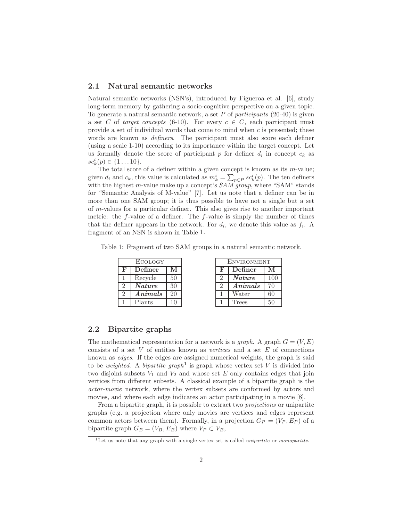#### 2.1 Natural semantic networks

Natural semantic networks (NSN's), introduced by Figueroa et al. [\[6\]](#page-5-1), study long-term memory by gathering a socio-cognitive perspective on a given topic. To generate a natural semantic network, a set P of participants  $(20-40)$  is given a set C of target concepts (6-10). For every  $c \in C$ , each participant must provide a set of individual words that come to mind when  $c$  is presented; these words are known as *definers*. The participant must also score each definer (using a scale 1-10) according to its importance within the target concept. Let us formally denote the score of participant  $p$  for definer  $d_i$  in concept  $c_k$  as  $sc_k^i(p) \in \{1 \dots 10\}.$ 

The total score of a definer within a given concept is known as its  $m$ -value; given  $d_i$  and  $c_k$ , this value is calculated as  $m_k^i = \sum_{p \in P} s c_k^i(p)$ . The ten definers with the highest m-value make up a concept's  $SAM'group$ , where "SAM" stands for "Semantic Analysis of M-value" [\[7](#page-5-2)]. Let us note that a definer can be in more than one SAM group; it is thus possible to have not a single but a set of m-values for a particular definer. This also gives rise to another important metric: the  $f$ -value of a definer. The  $f$ -value is simply the number of times that the definer appears in the network. For  $d_i$ , we denote this value as  $f_i$ . A fragment of an NSN is shown in Table [1.](#page-1-0)

<span id="page-1-0"></span>Table 1: Fragment of two SAM groups in a natural semantic network.

| ECOLOGY       |               |                |  |
|---------------|---------------|----------------|--|
| F             | Definer       | М              |  |
|               | Recycle       | 50             |  |
| $\mathcal{D}$ | <b>Nature</b> | 30             |  |
| $\mathcal{D}$ | Animals       | 20             |  |
|               | Plants        | 1 <sub>0</sub> |  |

| <b>ENVIRONMENT</b> |               |     |  |
|--------------------|---------------|-----|--|
| F                  | Definer       | М   |  |
| $\mathfrak{D}$     | <b>Nature</b> | 100 |  |
| $\mathcal{D}$      | Animals       | 70  |  |
|                    | Water         | 60  |  |
|                    | Trees         | 50  |  |

#### 2.2 Bipartite graphs

The mathematical representation for a network is a *graph*. A graph  $G = (V, E)$ consists of a set  $V$  of entities known as vertices and a set  $E$  of connections known as edges. If the edges are assigned numerical weights, the graph is said to be *weighted*. A *bipartite graph*<sup>[1](#page-1-1)</sup> is graph whose vertex set V is divided into two disjoint subsets  $V_1$  and  $V_2$  and whose set E only contains edges that join vertices from different subsets. A classical example of a bipartite graph is the actor-movie network, where the vertex subsets are conformed by actors and movies, and where each edge indicates an actor participating in a movie [\[8](#page-5-3)].

From a bipartite graph, it is possible to extract two projections or unipartite graphs (e.g. a projection where only movies are vertices and edges represent common actors between them). Formally, in a projection  $G_P = (V_P, E_P)$  of a bipartite graph  $G_B = (V_B, E_B)$  where  $V_P \subset V_B$ ,

<span id="page-1-1"></span> $1$ Let us note that any graph with a single vertex set is called *unipartite* or *monopartite*.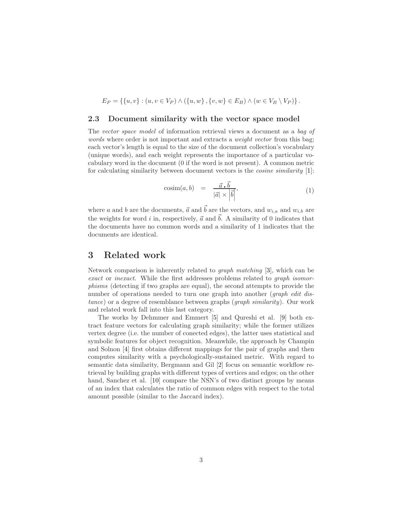$$
E_P = \{ \{u, v\} : (u, v \in V_P) \land (\{u, w\}, \{v, w\} \in E_B) \land (w \in V_B \setminus V_P) \}.
$$

#### 2.3 Document similarity with the vector space model

The vector space model of information retrieval views a document as a bag of words where order is not important and extracts a *weight vector* from this bag; each vector's length is equal to the size of the document collection's vocabulary (unique words), and each weight represents the importance of a particular vocabulary word in the document (0 if the word is not present). A common metric for calculating similarity between document vectors is the cosine similarity [\[1\]](#page-5-4):

$$
\text{cosim}(a, b) = \frac{\vec{a} \cdot \vec{b}}{|\vec{a}| \times |\vec{b}|},\tag{1}
$$

where a and b are the documents,  $\vec{a}$  and  $\vec{b}$  are the vectors, and  $w_{i,a}$  and  $w_{i,b}$  are the weights for word i in, respectively,  $\vec{a}$  and  $\vec{b}$ . A similarity of 0 indicates that the documents have no common words and a similarity of 1 indicates that the documents are identical.

### <span id="page-2-0"></span>3 Related work

Network comparison is inherently related to graph matching [\[3](#page-5-5)], which can be exact or inexact. While the first addresses problems related to graph isomorphisms (detecting if two graphs are equal), the second attempts to provide the number of operations needed to turn one graph into another (*graph edit dis*tance) or a degree of resemblance between graphs (graph similarity). Our work and related work fall into this last category.

The works by Dehmmer and Emmert [\[5](#page-5-6)] and Qureshi et al. [\[9\]](#page-5-7) both extract feature vectors for calculating graph similarity; while the former utilizes vertex degree (i.e. the number of conected edges), the latter uses statistical and symbolic features for object recognition. Meanwhile, the approach by Champin and Solnon [\[4](#page-5-8)] first obtains different mappings for the pair of graphs and then computes similarity with a psychologically-sustained metric. With regard to semantic data similarity, Bergmann and Gil [\[2\]](#page-5-9) focus on semantic workflow retrieval by building graphs with different types of vertices and edges; on the other hand, Sanchez et al. [\[10](#page-6-0)] compare the NSN's of two distinct groups by means of an index that calculates the ratio of common edges with respect to the total amount possible (similar to the Jaccard index).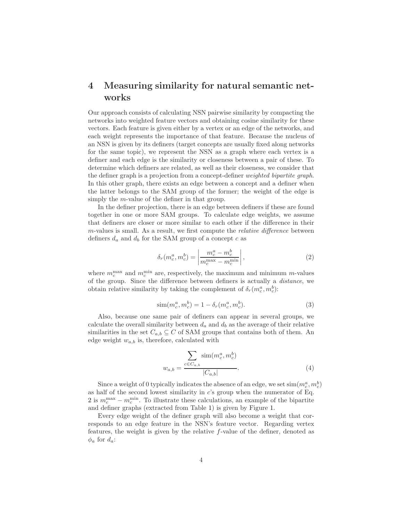# <span id="page-3-0"></span>4 Measuring similarity for natural semantic networks

Our approach consists of calculating NSN pairwise similarity by compacting the networks into weighted feature vectors and obtaining cosine similarity for these vectors. Each feature is given either by a vertex or an edge of the networks, and each weight represents the importance of that feature. Because the nucleus of an NSN is given by its definers (target concepts are usually fixed along networks for the same topic), we represent the NSN as a graph where each vertex is a definer and each edge is the similarity or closeness between a pair of these. To determine which definers are related, as well as their closeness, we consider that the definer graph is a projection from a concept-definer weighted bipartite graph. In this other graph, there exists an edge between a concept and a definer when the latter belongs to the SAM group of the former; the weight of the edge is simply the m-value of the definer in that group.

In the definer projection, there is an edge between definers if these are found together in one or more SAM groups. To calculate edge weights, we assume that definers are closer or more similar to each other if the difference in their  $m$ -values is small. As a result, we first compute the *relative difference* between definers  $d_a$  and  $d_b$  for the SAM group of a concept  $c$  as

<span id="page-3-1"></span>
$$
\delta_r(m_c^a, m_c^b) = \left| \frac{m_c^a - m_c^b}{m_c^{\text{max}} - m_c^{\text{min}}} \right|,\tag{2}
$$

where  $m_c^{\text{max}}$  and  $m_c^{\text{min}}$  are, respectively, the maximum and minimum m-values of the group. Since the difference between definers is actually a distance, we obtain relative similarity by taking the complement of  $\delta_r(m_c^a, m_c^b)$ :

$$
\text{sim}(m_c^a, m_c^b) = 1 - \delta_r(m_c^a, m_c^b). \tag{3}
$$

Also, because one same pair of definers can appear in several groups, we calculate the overall similarity between  $d_a$  and  $d_b$  as the average of their relative similarities in the set  $C_{a,b} \subseteq C$  of SAM groups that contains both of them. An edge weight  $w_{a,b}$  is, therefore, calculated with

$$
w_{a,b} = \frac{\sum_{c \in C_{a,b}} \text{sim}(m_c^a, m_c^b)}{|C_{a,b}|}.
$$
 (4)

Since a weight of 0 typically indicates the absence of an edge, we set  $\text{sim}(m_c^a, m_c^b)$ as half of the second lowest similarity in  $c$ 's group when the numerator of Eq. [2](#page-3-1) is  $m_c^{\text{max}} - m_c^{\text{min}}$ . To illustrate these calculations, an example of the bipartite and definer graphs (extracted from Table [1\)](#page-1-0) is given by Figure [1.](#page-4-1)

Every edge weight of the definer graph will also become a weight that corresponds to an edge feature in the NSN's feature vector. Regarding vertex features, the weight is given by the relative f-value of the definer, denoted as  $\phi_a$  for  $d_a$ :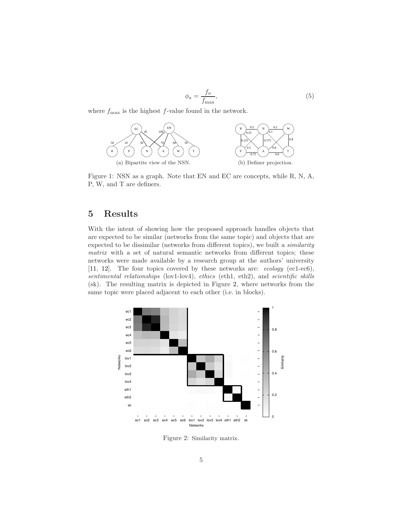$$
\phi_a = \frac{f_a}{f_{\text{max}}},\tag{5}
$$

<span id="page-4-1"></span>where  $f_{\text{max}}$  is the highest f-value found in the network.



Figure 1: NSN as a graph. Note that EN and EC are concepts, while R, N, A, P, W, and T are definers.

# <span id="page-4-0"></span>5 Results

With the intent of showing how the proposed approach handles objects that are expected to be similar (networks from the same topic) and objects that are expected to be dissimilar (networks from different topics), we built a similarity matrix with a set of natural semantic networks from different topics; these networks were made available by a research group at the authors' university [\[11,](#page-6-1) [12](#page-6-2)]. The four topics covered by these networks are: ecology (ec1-ec6), sentimental relationships (lov1-lov4), ethics (eth1, eth2), and scientific skills (sk). The resulting matrix is depicted in Figure [2,](#page-4-2) where networks from the same topic were placed adjacent to each other (i.e. in blocks).

<span id="page-4-2"></span>

Figure 2: Similarity matrix.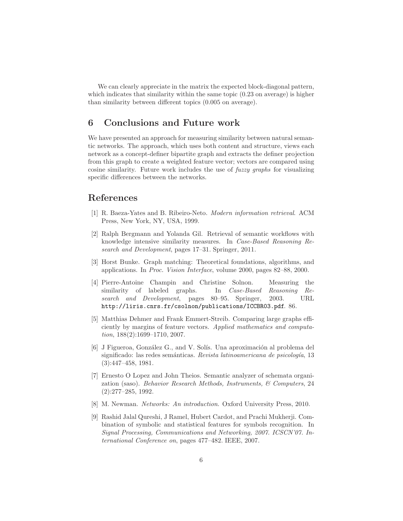We can clearly appreciate in the matrix the expected block-diagonal pattern, which indicates that similarity within the same topic  $(0.23 \text{ on average})$  is higher than similarity between different topics (0.005 on average).

## <span id="page-5-0"></span>6 Conclusions and Future work

We have presented an approach for measuring similarity between natural semantic networks. The approach, which uses both content and structure, views each network as a concept-definer bipartite graph and extracts the definer projection from this graph to create a weighted feature vector; vectors are compared using cosine similarity. Future work includes the use of fuzzy graphs for visualizing specific differences between the networks.

### References

- <span id="page-5-4"></span>[1] R. Baeza-Yates and B. Ribeiro-Neto. Modern information retrieval. ACM Press, New York, NY, USA, 1999.
- <span id="page-5-9"></span>[2] Ralph Bergmann and Yolanda Gil. Retrieval of semantic workflows with knowledge intensive similarity measures. In Case-Based Reasoning Research and Development, pages 17–31. Springer, 2011.
- <span id="page-5-5"></span>[3] Horst Bunke. Graph matching: Theoretical foundations, algorithms, and applications. In Proc. Vision Interface, volume 2000, pages 82–88, 2000.
- <span id="page-5-8"></span>[4] Pierre-Antoine Champin and Christine Solnon. Measuring the similarity of labeled graphs. In *Case-Based Reasoning Re*search and Development, pages 80–95. Springer, 2003. URL <http://liris.cnrs.fr/csolnon/publications/ICCBR03.pdf>. 86.
- <span id="page-5-6"></span>[5] Matthias Dehmer and Frank Emmert-Streib. Comparing large graphs efficiently by margins of feature vectors. Applied mathematics and computation, 188(2):1699–1710, 2007.
- <span id="page-5-1"></span>[6] J Figueroa, González G., and V. Solís. Una aproximación al problema del significado: las redes semánticas. Revista latinoamericana de psicología, 13 (3):447–458, 1981.
- <span id="page-5-2"></span>[7] Ernesto O Lopez and John Theios. Semantic analyzer of schemata organization (saso). Behavior Research Methods, Instruments, & Computers, 24 (2):277–285, 1992.
- <span id="page-5-3"></span>[8] M. Newman. Networks: An introduction. Oxford University Press, 2010.
- <span id="page-5-7"></span>[9] Rashid Jalal Qureshi, J Ramel, Hubert Cardot, and Prachi Mukherji. Combination of symbolic and statistical features for symbols recognition. In Signal Processing, Communications and Networking, 2007. ICSCN'07. International Conference on, pages 477–482. IEEE, 2007.